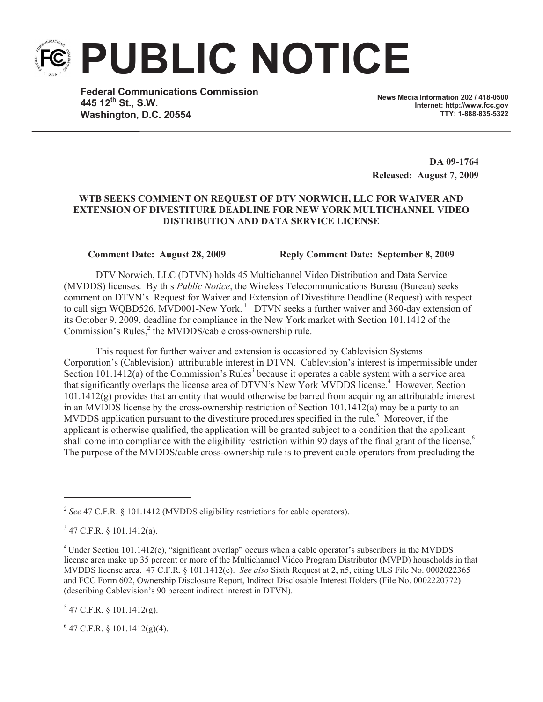**PUBLIC NOTICE**

**Federal Communications Commission 445 12th St., S.W. Washington, D.C. 20554**

**News Media Information 202 / 418-0500 Internet: http://www.fcc.gov TTY: 1-888-835-5322**

**DA 09-1764 Released: August 7, 2009**

## **WTB SEEKS COMMENT ON REQUEST OF DTV NORWICH, LLC FOR WAIVER AND EXTENSION OF DIVESTITURE DEADLINE FOR NEW YORK MULTICHANNEL VIDEO DISTRIBUTION AND DATA SERVICE LICENSE**

**Comment Date: August 28, 2009 Reply Comment Date: September 8, 2009**

DTV Norwich, LLC (DTVN) holds 45 Multichannel Video Distribution and Data Service (MVDDS) licenses. By this *Public Notice*, the Wireless Telecommunications Bureau (Bureau) seeks comment on DTVN's Request for Waiver and Extension of Divestiture Deadline (Request) with respect to call sign WQBD526, MVD001-New York.<sup>1</sup> DTVN seeks a further waiver and  $360$ -day extension of its October 9, 2009, deadline for compliance in the New York market with Section 101.1412 of the Commission's Rules,<sup>2</sup> the MVDDS/cable cross-ownership rule.

This request for further waiver and extension is occasioned by Cablevision Systems Corporation's (Cablevision) attributable interest in DTVN. Cablevision's interest is impermissible under Section 101.1412(a) of the Commission's Rules<sup>3</sup> because it operates a cable system with a service area that significantly overlaps the license area of DTVN's New York MVDDS license.<sup>4</sup> However, Section 101.1412(g) provides that an entity that would otherwise be barred from acquiring an attributable interest in an MVDDS license by the cross-ownership restriction of Section 101.1412(a) may be a party to an MVDDS application pursuant to the divestiture procedures specified in the rule.<sup>5</sup> Moreover, if the applicant is otherwise qualified, the application will be granted subject to a condition that the applicant shall come into compliance with the eligibility restriction within 90 days of the final grant of the license.<sup>6</sup> The purpose of the MVDDS/cable cross-ownership rule is to prevent cable operators from precluding the

 $5$  47 C.F.R. § 101.1412(g).

 $6$  47 C.F.R. § 101.1412(g)(4).

<sup>&</sup>lt;sup>2</sup> See 47 C.F.R. § 101.1412 (MVDDS eligibility restrictions for cable operators).

 $3$  47 C.F.R. § 101.1412(a).

<sup>&</sup>lt;sup>4</sup> Under Section 101.1412(e), "significant overlap" occurs when a cable operator's subscribers in the MVDDS license area make up 35 percent or more of the Multichannel Video Program Distributor (MVPD) households in that MVDDS license area. 47 C.F.R. § 101.1412(e). *See also* Sixth Request at 2, n5, citing ULS File No. 0002022365 and FCC Form 602, Ownership Disclosure Report, Indirect Disclosable Interest Holders (File No. 0002220772) (describing Cablevision's 90 percent indirect interest in DTVN).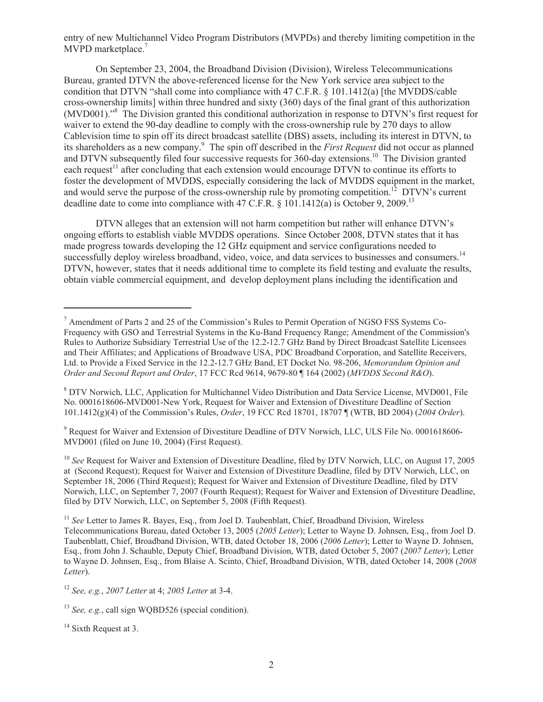entry of new Multichannel Video Program Distributors (MVPDs) and thereby limiting competition in the MVPD marketplace.<sup>7</sup>

On September 23, 2004, the Broadband Division (Division), Wireless Telecommunications Bureau, granted DTVN the above-referenced license for the New York service area subject to the condition that DTVN "shall come into compliance with 47 C.F.R. § 101.1412(a) [the MVDDS/cable cross-ownership limits] within three hundred and sixty (360) days of the final grant of this authorization (MVD001)."<sup>8</sup> The Division granted this conditional authorization in response to DTVN's first request for waiver to extend the 90-day deadline to comply with the cross-ownership rule by 270 days to allow Cablevision time to spin off its direct broadcast satellite (DBS) assets, including its interest in DTVN, to its shareholders as a new company.<sup>9</sup> The spin off described in the *First Request* did not occur as planned and DTVN subsequently filed four successive requests for 360-day extensions.<sup>10</sup> The Division granted each request<sup>11</sup> after concluding that each extension would encourage DTVN to continue its efforts to foster the development of MVDDS, especially considering the lack of MVDDS equipment in the market, and would serve the purpose of the cross-ownership rule by promoting competition.<sup>12</sup> DTVN's current deadline date to come into compliance with 47 C.F.R.  $\S$  101.1412(a) is October 9, 2009.<sup>13</sup>

DTVN alleges that an extension will not harm competition but rather will enhance DTVN's ongoing efforts to establish viable MVDDS operations. Since October 2008, DTVN states that it has made progress towards developing the 12 GHz equipment and service configurations needed to successfully deploy wireless broadband, video, voice, and data services to businesses and consumers.<sup>14</sup> DTVN, however, states that it needs additional time to complete its field testing and evaluate the results, obtain viable commercial equipment, and develop deployment plans including the identification and

<sup>9</sup> Request for Waiver and Extension of Divestiture Deadline of DTV Norwich, LLC, ULS File No. 0001618606- MVD001 (filed on June 10, 2004) (First Request).

<sup>10</sup> See Request for Waiver and Extension of Divestiture Deadline, filed by DTV Norwich, LLC, on August 17, 2005 at (Second Request); Request for Waiver and Extension of Divestiture Deadline, filed by DTV Norwich, LLC, on September 18, 2006 (Third Request); Request for Waiver and Extension of Divestiture Deadline, filed by DTV Norwich, LLC, on September 7, 2007 (Fourth Request); Request for Waiver and Extension of Divestiture Deadline, filed by DTV Norwich, LLC, on September 5, 2008 (Fifth Request).

<sup>7</sup> Amendment of Parts 2 and 25 of the Commission's Rules to Permit Operation of NGSO FSS Systems Co-Frequency with GSO and Terrestrial Systems in the Ku-Band Frequency Range; Amendment of the Commission's Rules to Authorize Subsidiary Terrestrial Use of the 12.2-12.7 GHz Band by Direct Broadcast Satellite Licensees and Their Affiliates; and Applications of Broadwave USA, PDC Broadband Corporation, and Satellite Receivers, Ltd. to Provide a Fixed Service in the 12.2-12.7 GHz Band, ET Docket No. 98-206, *Memorandum Opinion and Order and Second Report and Order*, 17 FCC Rcd 9614, 9679-80 ¶ 164 (2002) (*MVDDS Second R&O*).

<sup>8</sup> DTV Norwich, LLC, Application for Multichannel Video Distribution and Data Service License, MVD001, File No. 0001618606-MVD001-New York, Request for Waiver and Extension of Divestiture Deadline of Section 101.1412(g)(4) of the Commission's Rules, *Order*, 19 FCC Rcd 18701, 18707 ¶ (WTB, BD 2004) (*2004 Order*).

<sup>&</sup>lt;sup>11</sup> See Letter to James R. Bayes, Esq., from Joel D. Taubenblatt, Chief, Broadband Division, Wireless Telecommunications Bureau, dated October 13, 2005 (*2005 Letter*); Letter to Wayne D. Johnsen, Esq., from Joel D. Taubenblatt, Chief, Broadband Division, WTB, dated October 18, 2006 (*2006 Letter*); Letter to Wayne D. Johnsen, Esq., from John J. Schauble, Deputy Chief, Broadband Division, WTB, dated October 5, 2007 (*2007 Letter*); Letter to Wayne D. Johnsen, Esq., from Blaise A. Scinto, Chief, Broadband Division, WTB, dated October 14, 2008 (*2008 Letter*).

<sup>12</sup> *See, e.g.*, *2007 Letter* at 4; *2005 Letter* at 3-4.

<sup>&</sup>lt;sup>13</sup> *See, e.g.*, call sign WQBD526 (special condition).

<sup>&</sup>lt;sup>14</sup> Sixth Request at 3.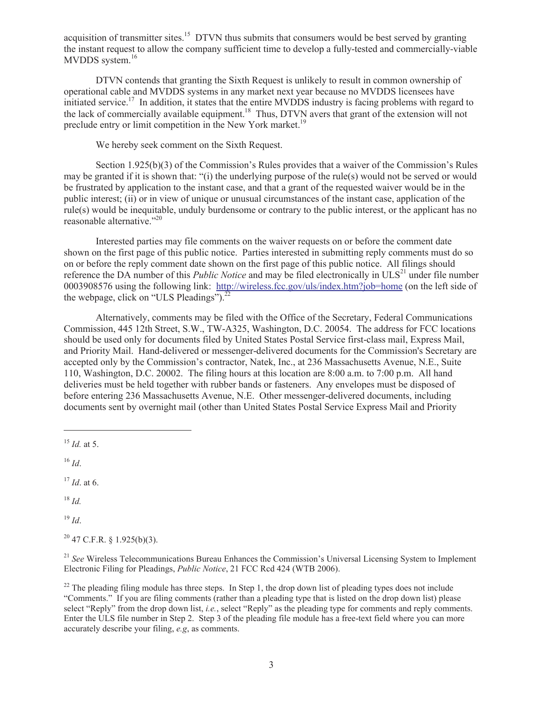acquisition of transmitter sites.<sup>15</sup> DTVN thus submits that consumers would be best served by granting the instant request to allow the company sufficient time to develop a fully-tested and commercially-viable MVDDS system.<sup>16</sup>

DTVN contends that granting the Sixth Request is unlikely to result in common ownership of operational cable and MVDDS systems in any market next year because no MVDDS licensees have initiated service.<sup>17</sup> In addition, it states that the entire MVDDS industry is facing problems with regard to the lack of commercially available equipment.<sup>18</sup> Thus, DTVN avers that grant of the extension will not preclude entry or limit competition in the New York market.<sup>19</sup>

We hereby seek comment on the Sixth Request.

Section 1.925(b)(3) of the Commission's Rules provides that a waiver of the Commission's Rules may be granted if it is shown that: "(i) the underlying purpose of the rule(s) would not be served or would be frustrated by application to the instant case, and that a grant of the requested waiver would be in the public interest; (ii) or in view of unique or unusual circumstances of the instant case, application of the rule(s) would be inequitable, unduly burdensome or contrary to the public interest, or the applicant has no reasonable alternative."<sup>20</sup>

Interested parties may file comments on the waiver requests on or before the comment date shown on the first page of this public notice. Parties interested in submitting reply comments must do so on or before the reply comment date shown on the first page of this public notice. All filings should reference the DA number of this *Public Notice* and may be filed electronically in ULS<sup>21</sup> under file number 0003908576 using the following link: http://wireless.fcc.gov/uls/index.htm?job=home (on the left side of the webpage, click on "ULS Pleadings"). $^{22}$ 

Alternatively, comments may be filed with the Office of the Secretary, Federal Communications Commission, 445 12th Street, S.W., TW-A325, Washington, D.C. 20054. The address for FCC locations should be used only for documents filed by United States Postal Service first-class mail, Express Mail, and Priority Mail. Hand-delivered or messenger-delivered documents for the Commission's Secretary are accepted only by the Commission's contractor, Natek, Inc., at 236 Massachusetts Avenue, N.E., Suite 110, Washington, D.C. 20002. The filing hours at this location are 8:00 a.m. to 7:00 p.m. All hand deliveries must be held together with rubber bands or fasteners. Any envelopes must be disposed of before entering 236 Massachusetts Avenue, N.E. Other messenger-delivered documents, including documents sent by overnight mail (other than United States Postal Service Express Mail and Priority

<sup>16</sup> *Id*.

<sup>17</sup> *Id*. at 6.

<sup>18</sup> *Id.*

<sup>19</sup> *Id*.

 $20$  47 C.F.R. § 1.925(b)(3).

<sup>21</sup> *See* Wireless Telecommunications Bureau Enhances the Commission's Universal Licensing System to Implement Electronic Filing for Pleadings, *Public Notice*, 21 FCC Rcd 424 (WTB 2006).

<sup>22</sup> The pleading filing module has three steps. In Step 1, the drop down list of pleading types does not include "Comments." If you are filing comments (rather than a pleading type that is listed on the drop down list) please select "Reply" from the drop down list, *i.e.*, select "Reply" as the pleading type for comments and reply comments. Enter the ULS file number in Step 2. Step 3 of the pleading file module has a free-text field where you can more accurately describe your filing, *e.g*, as comments.

 $^{15}$  *Id.* at 5.